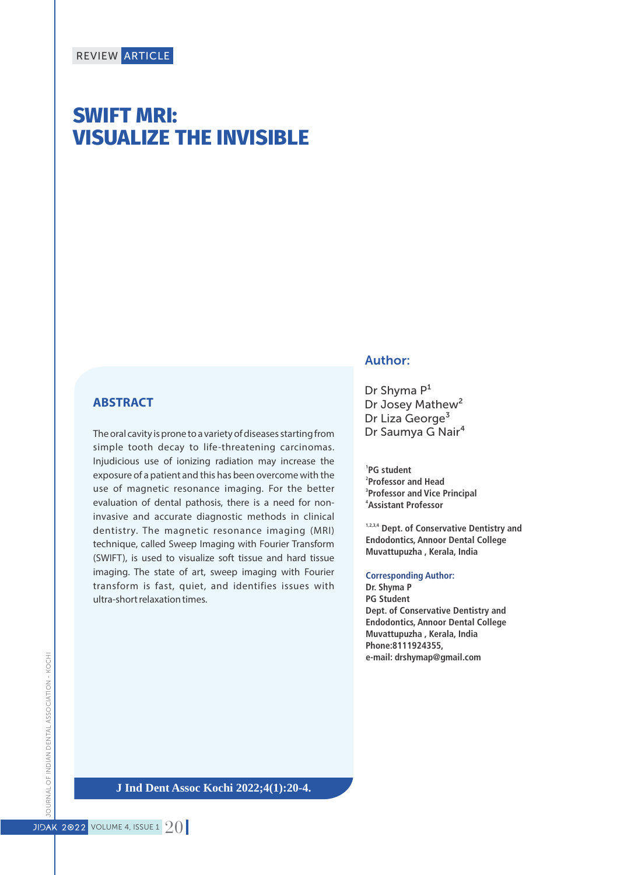# **SWIFT MRI: VISUALIZE THE INVISIBLE**

#### **ABSTRACT**

The oral cavity is prone to a variety of diseases starting from simple tooth decay to life-threatening carcinomas. Injudicious use of ionizing radiation may increase the exposure of a patient and this has been overcome with the use of magnetic resonance imaging. For the better evaluation of dental pathosis, there is a need for noninvasive and accurate diagnostic methods in clinical dentistry. The magnetic resonance imaging (MRI) technique, called Sweep Imaging with Fourier Transform (SWIFT), is used to visualize soft tissue and hard tissue imaging. The state of art, sweep imaging with Fourier transform is fast, quiet, and identifies issues with ultra-short relaxation times.

#### Author:

Dr Shyma  $P<sup>1</sup>$ Dr Josey Mathew<sup>2</sup> Dr Liza George<sup>3</sup> Dr Saumya G Nair<sup>4</sup>

 **PG student Professor and Head Professor and Vice Principal Assistant Professor**

**1,2,3,4 Dept. of Conservative Dentistry and Endodontics, Annoor Dental College Muvattupuzha , Kerala, India**

#### **Corresponding Author:**

**Dr. Shyma P PG Student Dept. of Conservative Dentistry and Endodontics, Annoor Dental College Muvattupuzha , Kerala, India Phone:8111924355, e-mail: drshymap@gmail.com**

**J Ind Dent Assoc Kochi 2022;4(1):20-4.**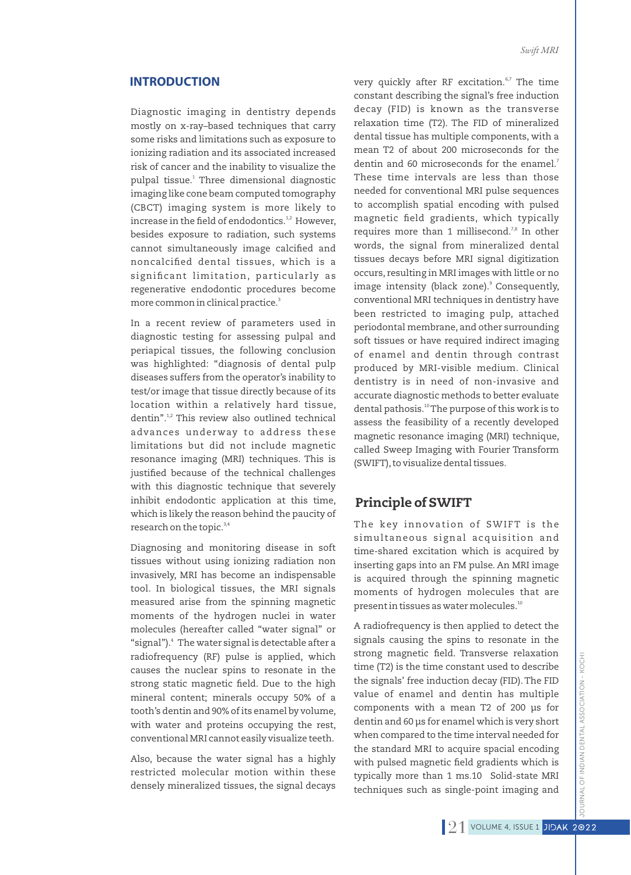#### **INTRODUCTION**

Diagnostic imaging in dentistry depends mostly on x-ray–based techniques that carry some risks and limitations such as exposure to ionizing radiation and its associated increased risk of cancer and the inability to visualize the pulpal tissue.<sup>1</sup> Three dimensional diagnostic imaging like cone beam computed tomography (CBCT) imaging system is more likely to increase in the field of endodontics.<sup>1,2</sup> However, besides exposure to radiation, such systems cannot simultaneously image calcified and noncalcified dental tissues, which is a significant limitation, particularly as regenerative endodontic procedures become more common in clinical practice.<sup>3</sup>

In a recent review of parameters used in diagnostic testing for assessing pulpal and periapical tissues, the following conclusion was highlighted: ''diagnosis of dental pulp diseases suffers from the operator's inability to test/or image that tissue directly because of its location within a relatively hard tissue, dentin".<sup>1,2</sup> This review also outlined technical advances underway to address these limitations but did not include magnetic resonance imaging (MRI) techniques. This is justified because of the technical challenges with this diagnostic technique that severely inhibit endodontic application at this time, which is likely the reason behind the paucity of research on the topic.<sup>3,4</sup>

Diagnosing and monitoring disease in soft tissues without using ionizing radiation non invasively, MRI has become an indispensable tool. In biological tissues, the MRI signals measured arise from the spinning magnetic moments of the hydrogen nuclei in water molecules (hereafter called ''water signal'' or "signal").<sup>4</sup> The water signal is detectable after a radiofrequency (RF) pulse is applied, which causes the nuclear spins to resonate in the strong static magnetic field. Due to the high mineral content; minerals occupy 50% of a tooth's dentin and 90% of its enamel by volume, with water and proteins occupying the rest, conventional MRI cannot easily visualize teeth.

Also, because the water signal has a highly restricted molecular motion within these densely mineralized tissues, the signal decays very quickly after RF excitation.<sup>6,7</sup> The time constant describing the signal's free induction decay (FID) is known as the transverse relaxation time (T2). The FID of mineralized dental tissue has multiple components, with a mean T2 of about 200 microseconds for the 7 dentin and 60 microseconds for the enamel. These time intervals are less than those needed for conventional MRI pulse sequences to accomplish spatial encoding with pulsed magnetic field gradients, which typically requires more than 1 millisecond.<sup>7,8</sup> In other words, the signal from mineralized dental tissues decays before MRI signal digitization occurs, resulting in MRI images with little or no image intensity (black zone).<sup>9</sup> Consequently, conventional MRI techniques in dentistry have been restricted to imaging pulp, attached periodontal membrane, and other surrounding soft tissues or have required indirect imaging of enamel and dentin through contrast produced by MRI-visible medium. Clinical dentistry is in need of non-invasive and accurate diagnostic methods to better evaluate dental pathosis.<sup>10</sup> The purpose of this work is to assess the feasibility of a recently developed magnetic resonance imaging (MRI) technique, called Sweep Imaging with Fourier Transform (SWIFT), to visualize dental tissues.

## Principle of SWIFT

The key innovation of SWIFT is the simultaneous signal acquisition and time-shared excitation which is acquired by inserting gaps into an FM pulse. An MRI image is acquired through the spinning magnetic moments of hydrogen molecules that are present in tissues as water molecules.<sup>10</sup>

A radiofrequency is then applied to detect the signals causing the spins to resonate in the strong magnetic field. Transverse relaxation time (T2) is the time constant used to describe the signals' free induction decay (FID).The FID value of enamel and dentin has multiple components with a mean T2 of 200 µs for dentin and 60 µs for enamel which is very short when compared to the time interval needed for the standard MRI to acquire spacial encoding with pulsed magnetic field gradients which is typically more than 1 ms.10 Solid-state MRI techniques such as single-point imaging and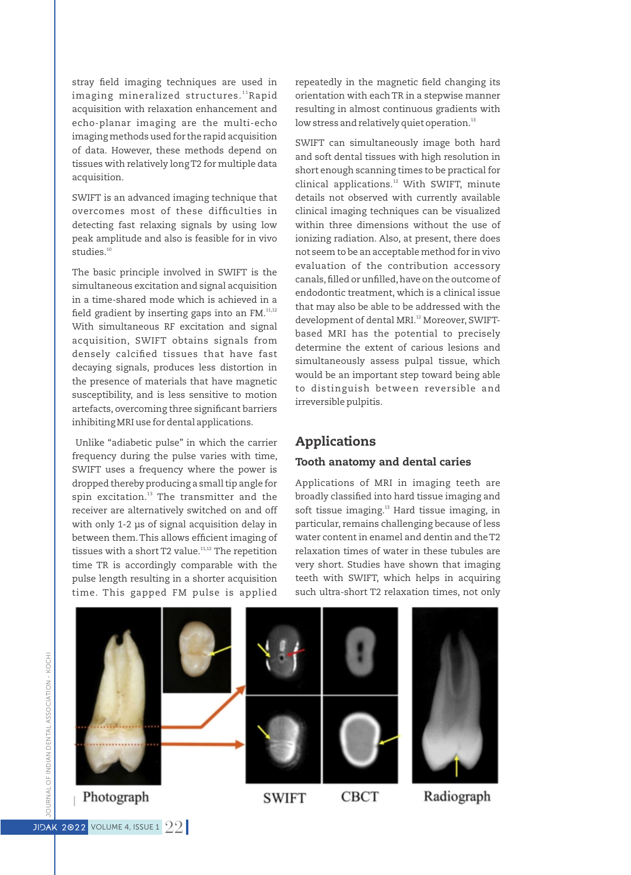stray field imaging techniques are used in imaging mineralized structures."<sup>R</sup>apid acquisition with relaxation enhancement and echo-planar imaging are the multi-echo imaging methods used for the rapid acquisition of data. However, these methods depend on tissues with relatively long T2 for multiple data acquisition.

SWIFT is an advanced imaging technique that overcomes most of these difficulties in detecting fast relaxing signals by using low peak amplitude and also is feasible for in vivo studies<sup>10</sup>

The basic principle involved in SWIFT is the simultaneous excitation and signal acquisition in a time-shared mode which is achieved in a field gradient by inserting gaps into an  $FM.^{11,12}$ With simultaneous RF excitation and signal acquisition, SWIFT obtains signals from densely calcified tissues that have fast decaying signals, produces less distortion in the presence of materials that have magnetic susceptibility, and is less sensitive to motion artefacts, overcoming three significant barriers inhibiting MRI use for dental applications.

Unlike "adiabetic pulse" in which the carrier frequency during the pulse varies with time, SWIFT uses a frequency where the power is dropped thereby producing a small tip angle for spin excitation.<sup>13</sup> The transmitter and the receiver are alternatively switched on and off with only 1-2 µs of signal acquisition delay in between them. This allows efficient imaging of tissues with a short T2 value. $11,12$  The repetition time TR is accordingly comparable with the pulse length resulting in a shorter acquisition time. This gapped FM pulse is applied

repeatedly in the magnetic field changing its orientation with each TR in a stepwise manner resulting in almost continuous gradients with low stress and relatively quiet operation.<sup>13</sup>

SWIFT can simultaneously image both hard and soft dental tissues with high resolution in short enough scanning times to be practical for  $\chi$  clinical applications. $^{12}$  With SWIFT, minute details not observed with currently available clinical imaging techniques can be visualized within three dimensions without the use of ionizing radiation. Also, at present, there does not seem to be an acceptable method for in vivo evaluation of the contribution accessory canals, filled or unfilled, have on the outcome of endodontic treatment, which is a clinical issue that may also be able to be addressed with the development of dental MRI.<sup>12</sup> Moreover, SWIFTbased MRI has the potential to precisely determine the extent of carious lesions and simultaneously assess pulpal tissue, which would be an important step toward being able to distinguish between reversible and irreversible pulpitis.

#### Applications

#### Tooth anatomy and dental caries

Applications of MRI in imaging teeth are broadly classified into hard tissue imaging and soft tissue imaging.<sup>13</sup> Hard tissue imaging, in particular, remains challenging because of less water content in enamel and dentin and the T2 relaxation times of water in these tubules are very short. Studies have shown that imaging teeth with SWIFT, which helps in acquiring such ultra-short T2 relaxation times, not only

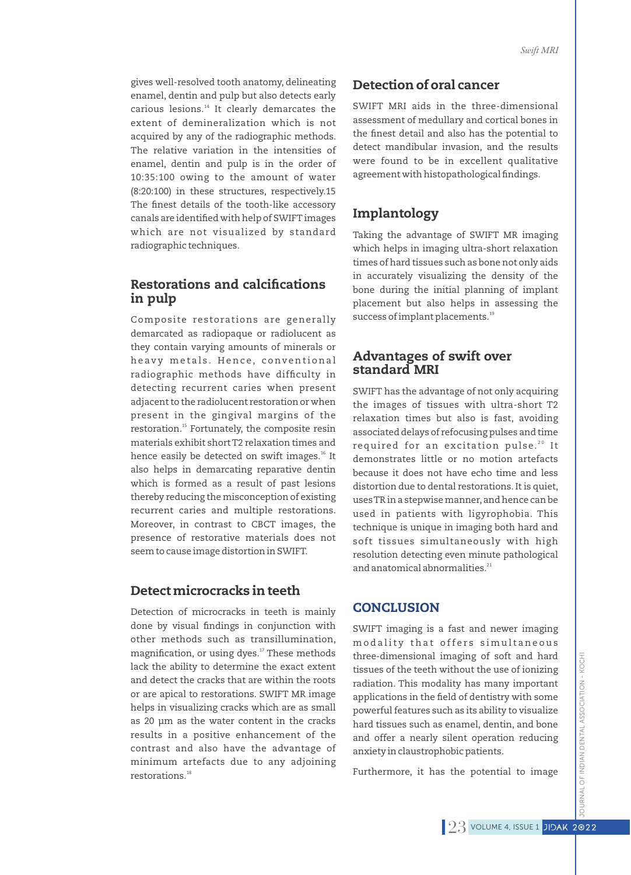gives well-resolved tooth anatomy, delineating enamel, dentin and pulp but also detects early carious lesions.<sup>14</sup> It clearly demarcates the extent of demineralization which is not acquired by any of the radiographic methods. The relative variation in the intensities of enamel, dentin and pulp is in the order of 10:35:100 owing to the amount of water (8:20:100) in these structures, respectively.15 The finest details of the tooth-like accessory canals are identified with help of SWIFT images which are not visualized by standard radiographic techniques.

## Restorations and calcifications in pulp

Composite restorations are generally demarcated as radiopaque or radiolucent as they contain varying amounts of minerals or heavy metals. Hence, conventional radiographic methods have difficulty in detecting recurrent caries when present adjacent to the radiolucent restoration or when present in the gingival margins of the restoration.<sup>15</sup> Fortunately, the composite resin materials exhibit short T2 relaxation times and hence easily be detected on swift images.<sup>16</sup> It also helps in demarcating reparative dentin which is formed as a result of past lesions thereby reducing the misconception of existing recurrent caries and multiple restorations. Moreover, in contrast to CBCT images, the presence of restorative materials does not seem to cause image distortion in SWIFT.

#### Detect microcracks in teeth

Detection of microcracks in teeth is mainly done by visual findings in conjunction with other methods such as transillumination, magnification, or using dyes.<sup>17</sup> These methods lack the ability to determine the exact extent and detect the cracks that are within the roots or are apical to restorations. SWIFT MR image helps in visualizing cracks which are as small as 20 µm as the water content in the cracks results in a positive enhancement of the contrast and also have the advantage of minimum artefacts due to any adjoining restorations.<sup>18</sup>

## Detection of oral cancer

SWIFT MRI aids in the three-dimensional assessment of medullary and cortical bones in the finest detail and also has the potential to detect mandibular invasion, and the results were found to be in excellent qualitative agreement with histopathological findings.

## Implantology

Taking the advantage of SWIFT MR imaging which helps in imaging ultra-short relaxation times of hard tissues such as bone not only aids in accurately visualizing the density of the bone during the initial planning of implant placement but also helps in assessing the success of implant placements.<sup>19</sup>

## Advantages of swift over standard MRI

SWIFT has the advantage of not only acquiring the images of tissues with ultra-short T2 relaxation times but also is fast, avoiding associated delays of refocusing pulses and time required for an excitation pulse.<sup>20</sup> It demonstrates little or no motion artefacts because it does not have echo time and less distortion due to dental restorations. It is quiet, uses TR in a stepwise manner, and hence can be used in patients with ligyrophobia. This technique is unique in imaging both hard and soft tissues simultaneously with high resolution detecting even minute pathological and anatomical abnormalities.<sup>21</sup>

## CONCLUSION

SWIFT imaging is a fast and newer imaging modality that offers simultaneous three-dimensional imaging of soft and hard tissues of the teeth without the use of ionizing radiation. This modality has many important applications in the field of dentistry with some powerful features such as its ability to visualize hard tissues such as enamel, dentin, and bone and offer a nearly silent operation reducing anxiety in claustrophobic patients.

Furthermore, it has the potential to image